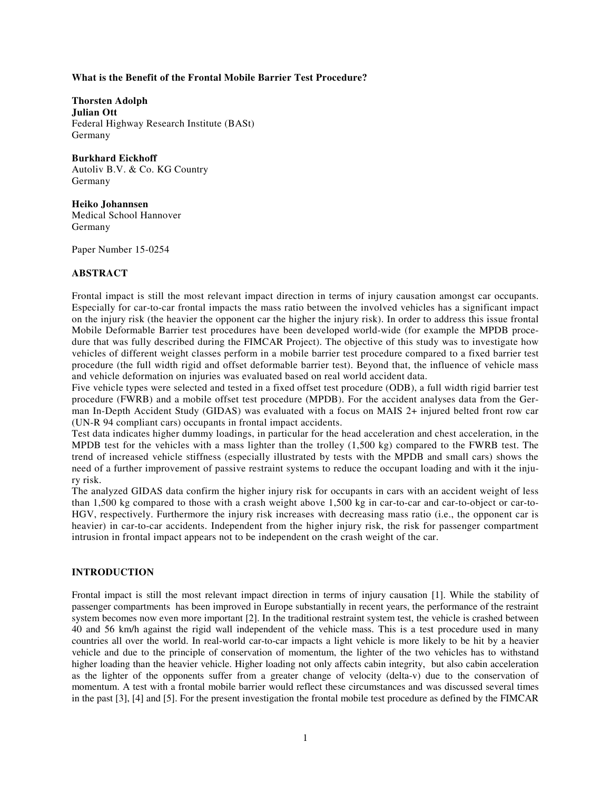### **What is the Benefit of the Frontal Mobile Barrier Test Procedure?**

**Thorsten Adolph Julian Ott**  Federal Highway Research Institute (BASt) Germany

**Burkhard Eickhoff**  Autoliv B.V. & Co. KG Country Germany

**Heiko Johannsen**  Medical School Hannover Germany

Paper Number 15-0254

#### **ABSTRACT**

Frontal impact is still the most relevant impact direction in terms of injury causation amongst car occupants. Especially for car-to-car frontal impacts the mass ratio between the involved vehicles has a significant impact on the injury risk (the heavier the opponent car the higher the injury risk). In order to address this issue frontal Mobile Deformable Barrier test procedures have been developed world-wide (for example the MPDB procedure that was fully described during the FIMCAR Project). The objective of this study was to investigate how vehicles of different weight classes perform in a mobile barrier test procedure compared to a fixed barrier test procedure (the full width rigid and offset deformable barrier test). Beyond that, the influence of vehicle mass and vehicle deformation on injuries was evaluated based on real world accident data.

Five vehicle types were selected and tested in a fixed offset test procedure (ODB), a full width rigid barrier test procedure (FWRB) and a mobile offset test procedure (MPDB). For the accident analyses data from the German In-Depth Accident Study (GIDAS) was evaluated with a focus on MAIS 2+ injured belted front row car (UN-R 94 compliant cars) occupants in frontal impact accidents.

Test data indicates higher dummy loadings, in particular for the head acceleration and chest acceleration, in the MPDB test for the vehicles with a mass lighter than the trolley (1,500 kg) compared to the FWRB test. The trend of increased vehicle stiffness (especially illustrated by tests with the MPDB and small cars) shows the need of a further improvement of passive restraint systems to reduce the occupant loading and with it the injury risk.

The analyzed GIDAS data confirm the higher injury risk for occupants in cars with an accident weight of less than 1,500 kg compared to those with a crash weight above 1,500 kg in car-to-car and car-to-object or car-to-HGV, respectively. Furthermore the injury risk increases with decreasing mass ratio (i.e., the opponent car is heavier) in car-to-car accidents. Independent from the higher injury risk, the risk for passenger compartment intrusion in frontal impact appears not to be independent on the crash weight of the car.

#### **INTRODUCTION**

Frontal impact is still the most relevant impact direction in terms of injury causation [1]. While the stability of passenger compartments has been improved in Europe substantially in recent years, the performance of the restraint system becomes now even more important [2]. In the traditional restraint system test, the vehicle is crashed between 40 and 56 km/h against the rigid wall independent of the vehicle mass. This is a test procedure used in many countries all over the world. In real-world car-to-car impacts a light vehicle is more likely to be hit by a heavier vehicle and due to the principle of conservation of momentum, the lighter of the two vehicles has to withstand higher loading than the heavier vehicle. Higher loading not only affects cabin integrity, but also cabin acceleration as the lighter of the opponents suffer from a greater change of velocity (delta-v) due to the conservation of momentum. A test with a frontal mobile barrier would reflect these circumstances and was discussed several times in the past [3], [4] and [5]. For the present investigation the frontal mobile test procedure as defined by the FIMCAR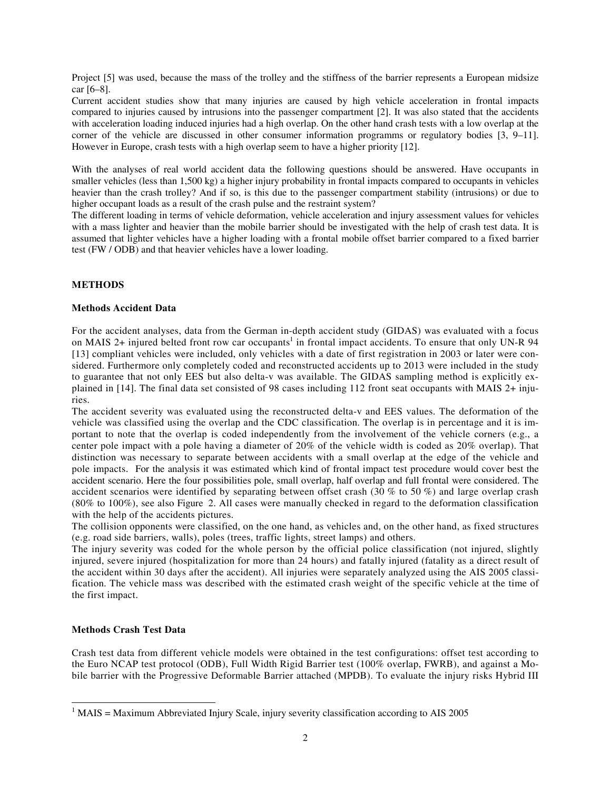Project [5] was used, because the mass of the trolley and the stiffness of the barrier represents a European midsize car [6–8].

Current accident studies show that many injuries are caused by high vehicle acceleration in frontal impacts compared to injuries caused by intrusions into the passenger compartment [2]. It was also stated that the accidents with acceleration loading induced injuries had a high overlap. On the other hand crash tests with a low overlap at the corner of the vehicle are discussed in other consumer information programms or regulatory bodies [3, 9–11]. However in Europe, crash tests with a high overlap seem to have a higher priority [12].

With the analyses of real world accident data the following questions should be answered. Have occupants in smaller vehicles (less than 1,500 kg) a higher injury probability in frontal impacts compared to occupants in vehicles heavier than the crash trolley? And if so, is this due to the passenger compartment stability (intrusions) or due to higher occupant loads as a result of the crash pulse and the restraint system?

The different loading in terms of vehicle deformation, vehicle acceleration and injury assessment values for vehicles with a mass lighter and heavier than the mobile barrier should be investigated with the help of crash test data. It is assumed that lighter vehicles have a higher loading with a frontal mobile offset barrier compared to a fixed barrier test (FW / ODB) and that heavier vehicles have a lower loading.

# **METHODS**

# **Methods Accident Data**

For the accident analyses, data from the German in-depth accident study (GIDAS) was evaluated with a focus on MAIS 2+ injured belted front row car occupants<sup>1</sup> in frontal impact accidents. To ensure that only UN-R 94 [13] compliant vehicles were included, only vehicles with a date of first registration in 2003 or later were considered. Furthermore only completely coded and reconstructed accidents up to 2013 were included in the study to guarantee that not only EES but also delta-v was available. The GIDAS sampling method is explicitly explained in [14]. The final data set consisted of 98 cases including 112 front seat occupants with MAIS 2+ injuries.

The accident severity was evaluated using the reconstructed delta-v and EES values. The deformation of the vehicle was classified using the overlap and the CDC classification. The overlap is in percentage and it is important to note that the overlap is coded independently from the involvement of the vehicle corners (e.g., a center pole impact with a pole having a diameter of 20% of the vehicle width is coded as 20% overlap). That distinction was necessary to separate between accidents with a small overlap at the edge of the vehicle and pole impacts. For the analysis it was estimated which kind of frontal impact test procedure would cover best the accident scenario. Here the four possibilities pole, small overlap, half overlap and full frontal were considered. The accident scenarios were identified by separating between offset crash (30 % to 50 %) and large overlap crash (80% to 100%), see also Figure 2. All cases were manually checked in regard to the deformation classification with the help of the accidents pictures.

The collision opponents were classified, on the one hand, as vehicles and, on the other hand, as fixed structures (e.g. road side barriers, walls), poles (trees, traffic lights, street lamps) and others.

The injury severity was coded for the whole person by the official police classification (not injured, slightly injured, severe injured (hospitalization for more than 24 hours) and fatally injured (fatality as a direct result of the accident within 30 days after the accident). All injuries were separately analyzed using the AIS 2005 classification. The vehicle mass was described with the estimated crash weight of the specific vehicle at the time of the first impact.

# **Methods Crash Test Data**

 $\overline{a}$ 

Crash test data from different vehicle models were obtained in the test configurations: offset test according to the Euro NCAP test protocol (ODB), Full Width Rigid Barrier test (100% overlap, FWRB), and against a Mobile barrier with the Progressive Deformable Barrier attached (MPDB). To evaluate the injury risks Hybrid III

 $1$  MAIS = Maximum Abbreviated Injury Scale, injury severity classification according to AIS 2005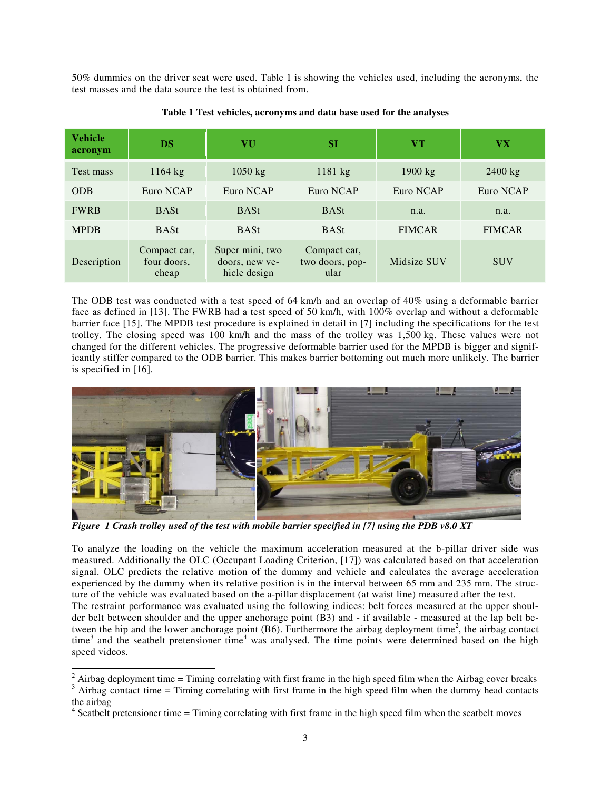50% dummies on the driver seat were used. Table 1 is showing the vehicles used, including the acronyms, the test masses and the data source the test is obtained from.

| <b>Vehicle</b><br>acronym | <b>DS</b>                            | VU                                                | <b>SI</b>                               | V T               | <b>VX</b>     |
|---------------------------|--------------------------------------|---------------------------------------------------|-----------------------------------------|-------------------|---------------|
| Test mass                 | $1164$ kg                            | $1050$ kg                                         | $1181$ kg                               | $1900 \text{ kg}$ | $2400$ kg     |
| <b>ODB</b>                | Euro NCAP                            | Euro NCAP                                         | Euro NCAP                               | Euro NCAP         | Euro NCAP     |
| <b>FWRB</b>               | <b>BASt</b>                          | <b>BASt</b>                                       | <b>BASt</b>                             | n.a.              | n.a.          |
| <b>MPDB</b>               | <b>BASt</b>                          | <b>BASt</b>                                       | <b>BASt</b>                             | <b>FIMCAR</b>     | <b>FIMCAR</b> |
| Description               | Compact car,<br>four doors,<br>cheap | Super mini, two<br>doors, new ye-<br>hicle design | Compact car,<br>two doors, pop-<br>ular | Midsize SUV       | <b>SUV</b>    |

### **Table 1 Test vehicles, acronyms and data base used for the analyses**

The ODB test was conducted with a test speed of 64 km/h and an overlap of 40% using a deformable barrier face as defined in [13]. The FWRB had a test speed of 50 km/h, with 100% overlap and without a deformable barrier face [15]. The MPDB test procedure is explained in detail in [7] including the specifications for the test trolley. The closing speed was 100 km/h and the mass of the trolley was 1,500 kg. These values were not changed for the different vehicles. The progressive deformable barrier used for the MPDB is bigger and significantly stiffer compared to the ODB barrier. This makes barrier bottoming out much more unlikely. The barrier is specified in [16].



*Figure 1 Crash trolley used of the test with mobile barrier specified in [7] using the PDB v8.0 XT* 

To analyze the loading on the vehicle the maximum acceleration measured at the b-pillar driver side was measured. Additionally the OLC (Occupant Loading Criterion, [17]) was calculated based on that acceleration signal. OLC predicts the relative motion of the dummy and vehicle and calculates the average acceleration experienced by the dummy when its relative position is in the interval between 65 mm and 235 mm. The structure of the vehicle was evaluated based on the a-pillar displacement (at waist line) measured after the test. The restraint performance was evaluated using the following indices: belt forces measured at the upper shoulder belt between shoulder and the upper anchorage point (B3) and - if available - measured at the lap belt between the hip and the lower anchorage point  $(B6)$ . Furthermore the airbag deployment time<sup>2</sup>, the airbag contact time<sup>3</sup> and the seatbelt pretensioner time<sup>4</sup> was analysed. The time points were determined based on the high

speed videos.

<sup>&</sup>lt;sup>2</sup> Airbag deployment time = Timing correlating with first frame in the high speed film when the Airbag cover breaks  $\frac{3}{2}$  Airbag contract time = Timing correlating with first frame in the high speed film when the dum

 $A$ <sup>3</sup> Airbag contact time = Timing correlating with first frame in the high speed film when the dummy head contacts the airbag

<sup>&</sup>lt;sup>4</sup> Seatbelt pretensioner time = Timing correlating with first frame in the high speed film when the seatbelt moves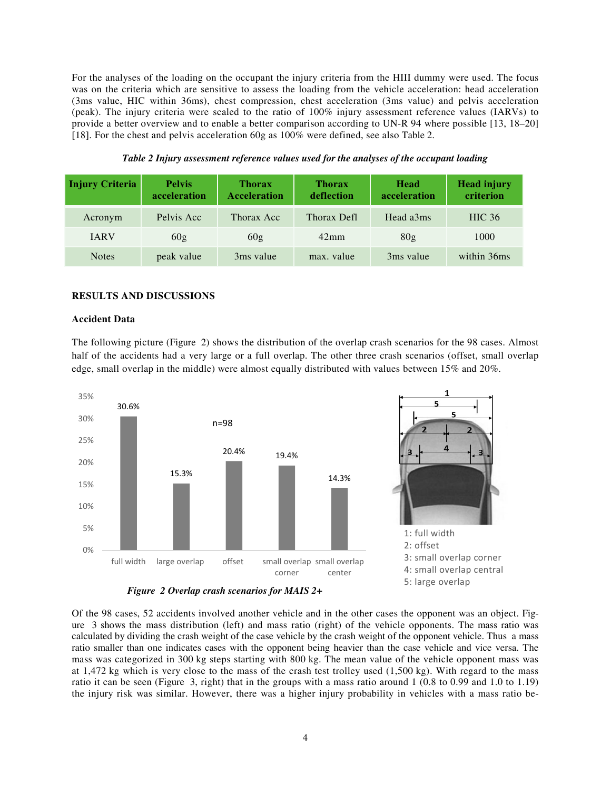For the analyses of the loading on the occupant the injury criteria from the HIII dummy were used. The focus was on the criteria which are sensitive to assess the loading from the vehicle acceleration: head acceleration (3ms value, HIC within 36ms), chest compression, chest acceleration (3ms value) and pelvis acceleration (peak). The injury criteria were scaled to the ratio of 100% injury assessment reference values (IARVs) to provide a better overview and to enable a better comparison according to UN-R 94 where possible [13, 18–20] [18]. For the chest and pelvis acceleration 60g as 100% were defined, see also Table 2.

| <b>Injury Criteria</b> | <b>Pelvis</b><br>acceleration | <b>Thorax</b><br><b>Acceleration</b> | <b>Thorax</b><br>deflection | Head<br>acceleration | <b>Head injury</b><br>criterion |
|------------------------|-------------------------------|--------------------------------------|-----------------------------|----------------------|---------------------------------|
| Acronym                | Pelvis Acc                    | Thorax Acc                           | Thorax Defl                 | Head a3ms            | <b>HIC</b> 36                   |
| <b>IARV</b>            | 60g                           | 60g                                  | $42 \text{mm}$              | 80 <sub>g</sub>      | 1000                            |
| <b>Notes</b>           | peak value                    | 3ms value                            | max. value                  | 3ms value            | within 36ms                     |

*Table 2 Injury assessment reference values used for the analyses of the occupant loading* 

#### **RESULTS AND DISCUSSIONS**

#### **Accident Data**

The following picture (Figure 2) shows the distribution of the overlap crash scenarios for the 98 cases. Almost half of the accidents had a very large or a full overlap. The other three crash scenarios (offset, small overlap edge, small overlap in the middle) were almost equally distributed with values between 15% and 20%.



*Figure 2 Overlap crash scenarios for MAIS 2+* 

Of the 98 cases, 52 accidents involved another vehicle and in the other cases the opponent was an object. Figure 3 shows the mass distribution (left) and mass ratio (right) of the vehicle opponents. The mass ratio was calculated by dividing the crash weight of the case vehicle by the crash weight of the opponent vehicle. Thus a mass ratio smaller than one indicates cases with the opponent being heavier than the case vehicle and vice versa. The mass was categorized in 300 kg steps starting with 800 kg. The mean value of the vehicle opponent mass was at 1,472 kg which is very close to the mass of the crash test trolley used (1,500 kg). With regard to the mass ratio it can be seen (Figure 3, right) that in the groups with a mass ratio around 1 (0.8 to 0.99 and 1.0 to 1.19) the injury risk was similar. However, there was a higher injury probability in vehicles with a mass ratio be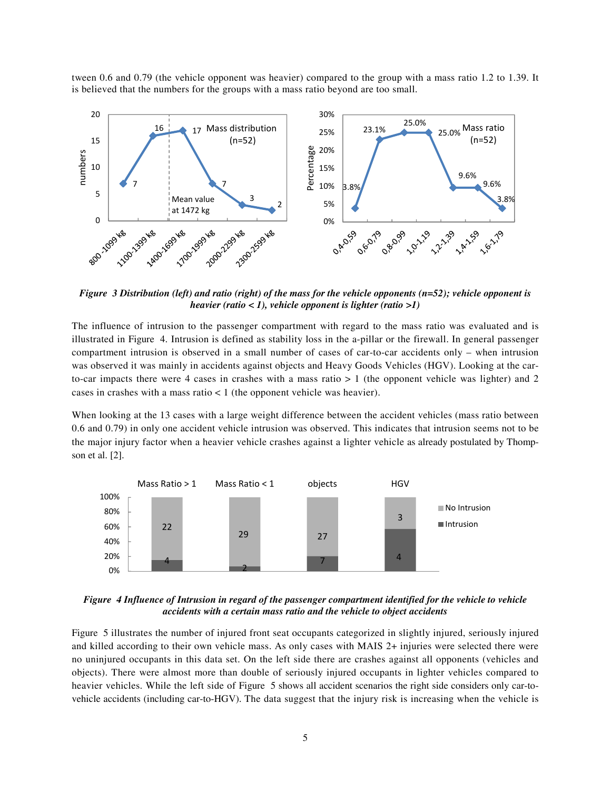tween 0.6 and 0.79 (the vehicle opponent was heavier) compared to the group with a mass ratio 1.2 to 1.39. It is believed that the numbers for the groups with a mass ratio beyond are too small.



*Figure 3 Distribution (left) and ratio (right) of the mass for the vehicle opponents (n=52); vehicle opponent is heavier (ratio < 1), vehicle opponent is lighter (ratio >1)*

The influence of intrusion to the passenger compartment with regard to the mass ratio was evaluated and is illustrated in Figure 4. Intrusion is defined as stability loss in the a-pillar or the firewall. In general passenger compartment intrusion is observed in a small number of cases of car-to-car accidents only – when intrusion was observed it was mainly in accidents against objects and Heavy Goods Vehicles (HGV). Looking at the carto-car impacts there were 4 cases in crashes with a mass ratio  $> 1$  (the opponent vehicle was lighter) and 2 cases in crashes with a mass ratio  $\lt 1$  (the opponent vehicle was heavier).

When looking at the 13 cases with a large weight difference between the accident vehicles (mass ratio between 0.6 and 0.79) in only one accident vehicle intrusion was observed. This indicates that intrusion seems not to be the major injury factor when a heavier vehicle crashes against a lighter vehicle as already postulated by Thompson et al. [2].



*Figure 4 Influence of Intrusion in regard of the passenger compartment identified for the vehicle to vehicle accidents with a certain mass ratio and the vehicle to object accidents* 

Figure 5 illustrates the number of injured front seat occupants categorized in slightly injured, seriously injured and killed according to their own vehicle mass. As only cases with MAIS 2+ injuries were selected there were no uninjured occupants in this data set. On the left side there are crashes against all opponents (vehicles and objects). There were almost more than double of seriously injured occupants in lighter vehicles compared to heavier vehicles. While the left side of Figure 5 shows all accident scenarios the right side considers only car-tovehicle accidents (including car-to-HGV). The data suggest that the injury risk is increasing when the vehicle is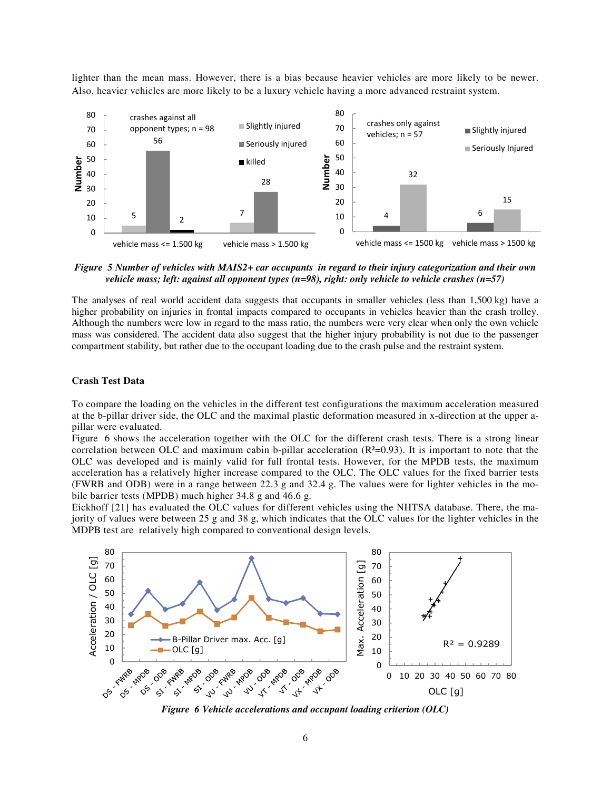lighter than the mean mass. However, there is a bias because heavier vehicles are more likely to be newer. Also, heavier vehicles are more likely to be a luxury vehicle having a more advanced restraint system.



*Figure 5 Number of vehicles with MAIS2+ car occupants in regard to their injury categorization and their own vehicle mass; left: against all opponent types (n=98), right: only vehicle to vehicle crashes (n=57)* 

The analyses of real world accident data suggests that occupants in smaller vehicles (less than 1,500 kg) have a higher probability on injuries in frontal impacts compared to occupants in vehicles heavier than the crash trolley. Although the numbers were low in regard to the mass ratio, the numbers were very clear when only the own vehicle mass was considered. The accident data also suggest that the higher injury probability is not due to the passenger compartment stability, but rather due to the occupant loading due to the crash pulse and the restraint system.

### **Crash Test Data**

To compare the loading on the vehicles in the different test configurations the maximum acceleration measured at the b-pillar driver side, the OLC and the maximal plastic deformation measured in x-direction at the upper apillar were evaluated.

Figure 6 shows the acceleration together with the OLC for the different crash tests. There is a strong linear correlation between OLC and maximum cabin b-pillar acceleration (R²=0.93). It is important to note that the OLC was developed and is mainly valid for full frontal tests. However, for the MPDB tests, the maximum acceleration has a relatively higher increase compared to the OLC. The OLC values for the fixed barrier tests (FWRB and ODB) were in a range between 22.3 g and 32.4 g. The values were for lighter vehicles in the mobile barrier tests (MPDB) much higher 34.8 g and 46.6 g.

Eickhoff [21] has evaluated the OLC values for different vehicles using the NHTSA database. There, the majority of values were between 25 g and 38 g, which indicates that the OLC values for the lighter vehicles in the MDPB test are relatively high compared to conventional design levels.



*Figure 6 Vehicle accelerations and occupant loading criterion (OLC)*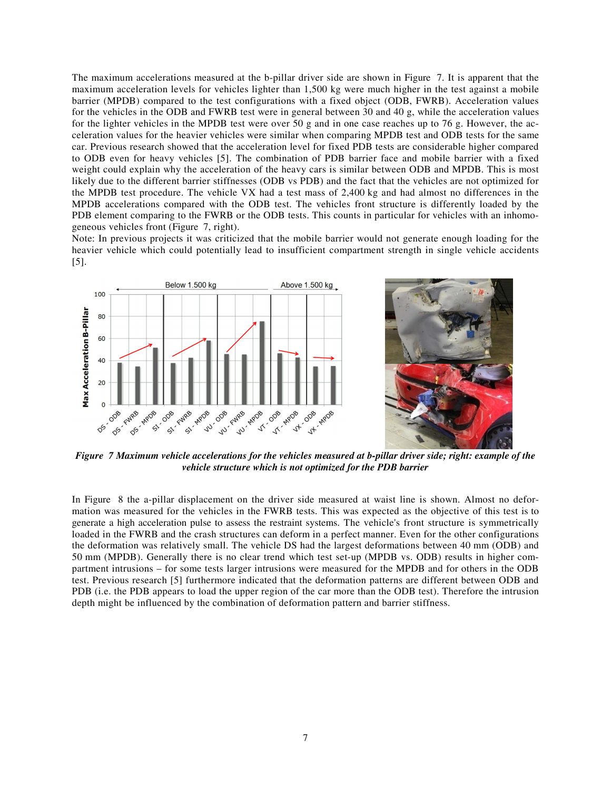The maximum accelerations measured at the b-pillar driver side are shown in Figure 7. It is apparent that the maximum acceleration levels for vehicles lighter than 1,500 kg were much higher in the test against a mobile barrier (MPDB) compared to the test configurations with a fixed object (ODB, FWRB). Acceleration values for the vehicles in the ODB and FWRB test were in general between 30 and 40 g, while the acceleration values for the lighter vehicles in the MPDB test were over 50 g and in one case reaches up to 76 g. However, the acceleration values for the heavier vehicles were similar when comparing MPDB test and ODB tests for the same car. Previous research showed that the acceleration level for fixed PDB tests are considerable higher compared to ODB even for heavy vehicles [5]. The combination of PDB barrier face and mobile barrier with a fixed weight could explain why the acceleration of the heavy cars is similar between ODB and MPDB. This is most likely due to the different barrier stiffnesses (ODB vs PDB) and the fact that the vehicles are not optimized for the MPDB test procedure. The vehicle VX had a test mass of 2,400 kg and had almost no differences in the MPDB accelerations compared with the ODB test. The vehicles front structure is differently loaded by the PDB element comparing to the FWRB or the ODB tests. This counts in particular for vehicles with an inhomogeneous vehicles front (Figure 7, right).

Note: In previous projects it was criticized that the mobile barrier would not generate enough loading for the heavier vehicle which could potentially lead to insufficient compartment strength in single vehicle accidents [5].





*Figure 7 Maximum vehicle accelerations for the vehicles measured at b-pillar driver side; right: example of the vehicle structure which is not optimized for the PDB barrier* 

In Figure 8 the a-pillar displacement on the driver side measured at waist line is shown. Almost no deformation was measured for the vehicles in the FWRB tests. This was expected as the objective of this test is to generate a high acceleration pulse to assess the restraint systems. The vehicle's front structure is symmetrically loaded in the FWRB and the crash structures can deform in a perfect manner. Even for the other configurations the deformation was relatively small. The vehicle DS had the largest deformations between 40 mm (ODB) and 50 mm (MPDB). Generally there is no clear trend which test set-up (MPDB vs. ODB) results in higher compartment intrusions – for some tests larger intrusions were measured for the MPDB and for others in the ODB test. Previous research [5] furthermore indicated that the deformation patterns are different between ODB and PDB (i.e. the PDB appears to load the upper region of the car more than the ODB test). Therefore the intrusion depth might be influenced by the combination of deformation pattern and barrier stiffness.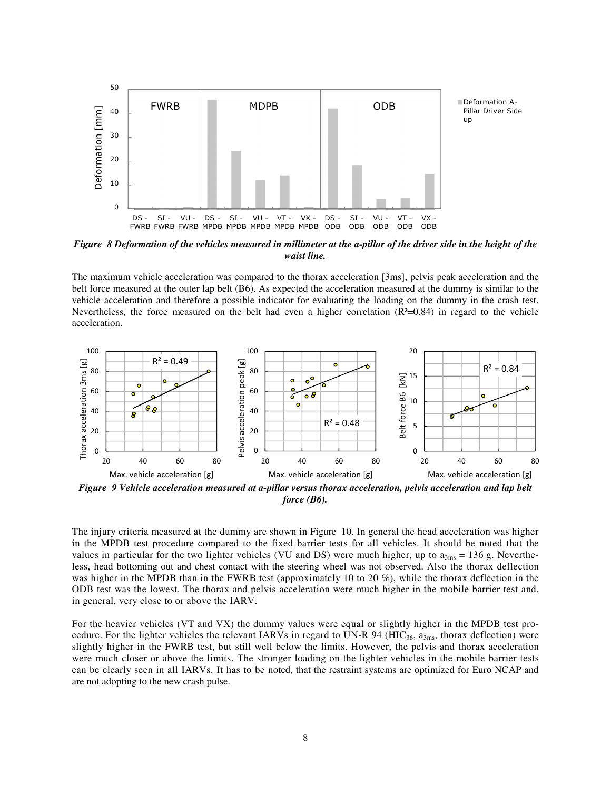

*Figure 8 Deformation of the vehicles measured in millimeter at the a-pillar of the driver side in the height of the waist line.* 

The maximum vehicle acceleration was compared to the thorax acceleration [3ms], pelvis peak acceleration and the belt force measured at the outer lap belt (B6). As expected the acceleration measured at the dummy is similar to the vehicle acceleration and therefore a possible indicator for evaluating the loading on the dummy in the crash test. Nevertheless, the force measured on the belt had even a higher correlation  $(R<sup>2</sup>=0.84)$  in regard to the vehicle acceleration.



*Figure 9 Vehicle acceleration measured at a-pillar versus thorax acceleration, pelvis acceleration and lap belt force (B6).* 

The injury criteria measured at the dummy are shown in Figure 10. In general the head acceleration was higher in the MPDB test procedure compared to the fixed barrier tests for all vehicles. It should be noted that the values in particular for the two lighter vehicles (VU and DS) were much higher, up to  $a_{3ms} = 136$  g. Nevertheless, head bottoming out and chest contact with the steering wheel was not observed. Also the thorax deflection was higher in the MPDB than in the FWRB test (approximately 10 to 20 %), while the thorax deflection in the ODB test was the lowest. The thorax and pelvis acceleration were much higher in the mobile barrier test and, in general, very close to or above the IARV.

For the heavier vehicles (VT and VX) the dummy values were equal or slightly higher in the MPDB test procedure. For the lighter vehicles the relevant IARVs in regard to UN-R 94 (HIC<sub>36</sub>,  $a_{3ms}$ , thorax deflection) were slightly higher in the FWRB test, but still well below the limits. However, the pelvis and thorax acceleration were much closer or above the limits. The stronger loading on the lighter vehicles in the mobile barrier tests can be clearly seen in all IARVs. It has to be noted, that the restraint systems are optimized for Euro NCAP and are not adopting to the new crash pulse.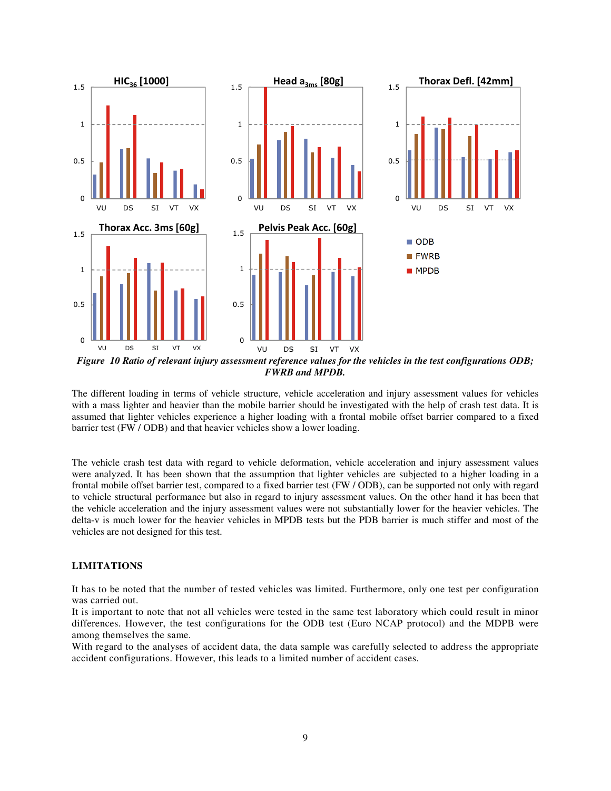

*FWRB and MPDB.* 

The different loading in terms of vehicle structure, vehicle acceleration and injury assessment values for vehicles with a mass lighter and heavier than the mobile barrier should be investigated with the help of crash test data. It is assumed that lighter vehicles experience a higher loading with a frontal mobile offset barrier compared to a fixed barrier test (FW / ODB) and that heavier vehicles show a lower loading.

The vehicle crash test data with regard to vehicle deformation, vehicle acceleration and injury assessment values were analyzed. It has been shown that the assumption that lighter vehicles are subjected to a higher loading in a frontal mobile offset barrier test, compared to a fixed barrier test (FW / ODB), can be supported not only with regard to vehicle structural performance but also in regard to injury assessment values. On the other hand it has been that the vehicle acceleration and the injury assessment values were not substantially lower for the heavier vehicles. The delta-v is much lower for the heavier vehicles in MPDB tests but the PDB barrier is much stiffer and most of the vehicles are not designed for this test.

# **LIMITATIONS**

It has to be noted that the number of tested vehicles was limited. Furthermore, only one test per configuration was carried out.

It is important to note that not all vehicles were tested in the same test laboratory which could result in minor differences. However, the test configurations for the ODB test (Euro NCAP protocol) and the MDPB were among themselves the same.

With regard to the analyses of accident data, the data sample was carefully selected to address the appropriate accident configurations. However, this leads to a limited number of accident cases.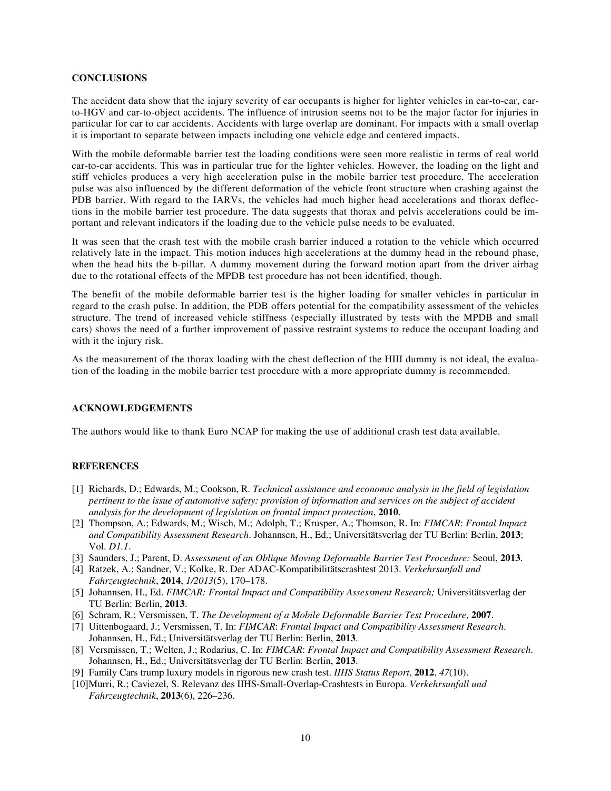### **CONCLUSIONS**

The accident data show that the injury severity of car occupants is higher for lighter vehicles in car-to-car, carto-HGV and car-to-object accidents. The influence of intrusion seems not to be the major factor for injuries in particular for car to car accidents. Accidents with large overlap are dominant. For impacts with a small overlap it is important to separate between impacts including one vehicle edge and centered impacts.

With the mobile deformable barrier test the loading conditions were seen more realistic in terms of real world car-to-car accidents. This was in particular true for the lighter vehicles. However, the loading on the light and stiff vehicles produces a very high acceleration pulse in the mobile barrier test procedure. The acceleration pulse was also influenced by the different deformation of the vehicle front structure when crashing against the PDB barrier. With regard to the IARVs, the vehicles had much higher head accelerations and thorax deflections in the mobile barrier test procedure. The data suggests that thorax and pelvis accelerations could be important and relevant indicators if the loading due to the vehicle pulse needs to be evaluated.

It was seen that the crash test with the mobile crash barrier induced a rotation to the vehicle which occurred relatively late in the impact. This motion induces high accelerations at the dummy head in the rebound phase, when the head hits the b-pillar. A dummy movement during the forward motion apart from the driver airbag due to the rotational effects of the MPDB test procedure has not been identified, though.

The benefit of the mobile deformable barrier test is the higher loading for smaller vehicles in particular in regard to the crash pulse. In addition, the PDB offers potential for the compatibility assessment of the vehicles structure. The trend of increased vehicle stiffness (especially illustrated by tests with the MPDB and small cars) shows the need of a further improvement of passive restraint systems to reduce the occupant loading and with it the injury risk.

As the measurement of the thorax loading with the chest deflection of the HIII dummy is not ideal, the evaluation of the loading in the mobile barrier test procedure with a more appropriate dummy is recommended.

#### **ACKNOWLEDGEMENTS**

The authors would like to thank Euro NCAP for making the use of additional crash test data available.

#### **REFERENCES**

- [1] Richards, D.; Edwards, M.; Cookson, R. *Technical assistance and economic analysis in the field of legislation pertinent to the issue of automotive safety: provision of information and services on the subject of accident analysis for the development of legislation on frontal impact protection*, **2010**.
- [2] Thompson, A.; Edwards, M.; Wisch, M.; Adolph, T.; Krusper, A.; Thomson, R. In: *FIMCAR*: *Frontal Impact and Compatibility Assessment Research*. Johannsen, H., Ed.; Universitätsverlag der TU Berlin: Berlin, **2013**; Vol. *D1.1*.
- [3] Saunders, J.; Parent, D. *Assessment of an Oblique Moving Deformable Barrier Test Procedure:* Seoul, **2013**.
- [4] Ratzek, A.; Sandner, V.; Kolke, R. Der ADAC-Kompatibilitätscrashtest 2013. *Verkehrsunfall und Fahrzeugtechnik*, **2014**, *1/2013*(5), 170–178.
- [5] Johannsen, H., Ed. *FIMCAR: Frontal Impact and Compatibility Assessment Research;* Universitätsverlag der TU Berlin: Berlin, **2013**.
- [6] Schram, R.; Versmissen, T. *The Development of a Mobile Deformable Barrier Test Procedure*, **2007**.
- [7] Uittenbogaard, J.; Versmissen, T. In: *FIMCAR*: *Frontal Impact and Compatibility Assessment Research*. Johannsen, H., Ed.; Universitätsverlag der TU Berlin: Berlin, **2013**.
- [8] Versmissen, T.; Welten, J.; Rodarius, C. In: *FIMCAR*: *Frontal Impact and Compatibility Assessment Research*. Johannsen, H., Ed.; Universitätsverlag der TU Berlin: Berlin, **2013**.
- [9] Family Cars trump luxury models in rigorous new crash test. *IIHS Status Report*, **2012**, *47*(10).
- [10] Murri, R.; Caviezel, S. Relevanz des IIHS-Small-Overlap-Crashtests in Europa. *Verkehrsunfall und Fahrzeugtechnik*, **2013**(6), 226–236.